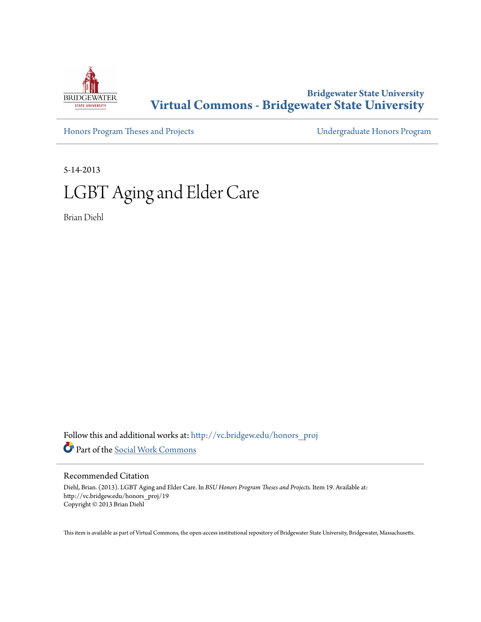

## **Bridgewater State University [Virtual Commons - Bridgewater State University](http://vc.bridgew.edu?utm_source=vc.bridgew.edu%2Fhonors_proj%2F19&utm_medium=PDF&utm_campaign=PDFCoverPages)**

[Honors Program Theses and Projects](http://vc.bridgew.edu/honors_proj?utm_source=vc.bridgew.edu%2Fhonors_proj%2F19&utm_medium=PDF&utm_campaign=PDFCoverPages) [Undergraduate Honors Program](http://vc.bridgew.edu/honors?utm_source=vc.bridgew.edu%2Fhonors_proj%2F19&utm_medium=PDF&utm_campaign=PDFCoverPages)

5-14-2013

# LGBT Aging and Elder Care

Brian Diehl

Follow this and additional works at: [http://vc.bridgew.edu/honors\\_proj](http://vc.bridgew.edu/honors_proj?utm_source=vc.bridgew.edu%2Fhonors_proj%2F19&utm_medium=PDF&utm_campaign=PDFCoverPages) Part of the [Social Work Commons](http://network.bepress.com/hgg/discipline/713?utm_source=vc.bridgew.edu%2Fhonors_proj%2F19&utm_medium=PDF&utm_campaign=PDFCoverPages)

#### Recommended Citation

Diehl, Brian. (2013). LGBT Aging and Elder Care. In *BSU Honors Program Theses and Projects.* Item 19. Available at: http://vc.bridgew.edu/honors\_proj/19 Copyright © 2013 Brian Diehl

This item is available as part of Virtual Commons, the open-access institutional repository of Bridgewater State University, Bridgewater, Massachusetts.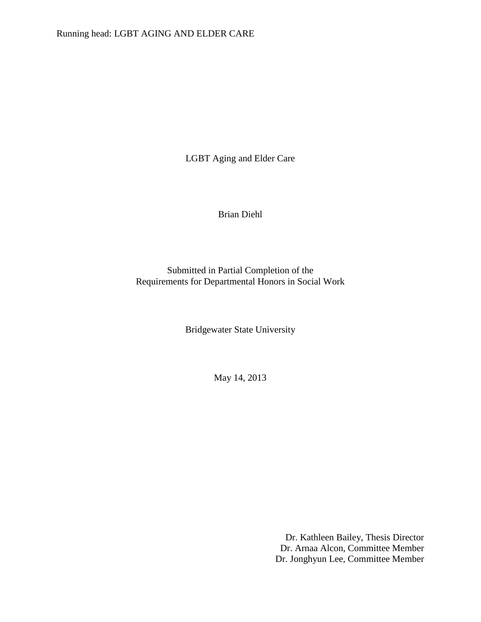LGBT Aging and Elder Care

Brian Diehl

Submitted in Partial Completion of the Requirements for Departmental Honors in Social Work

Bridgewater State University

May 14, 2013

Dr. Kathleen Bailey, Thesis Director Dr. Arnaa Alcon, Committee Member Dr. Jonghyun Lee, Committee Member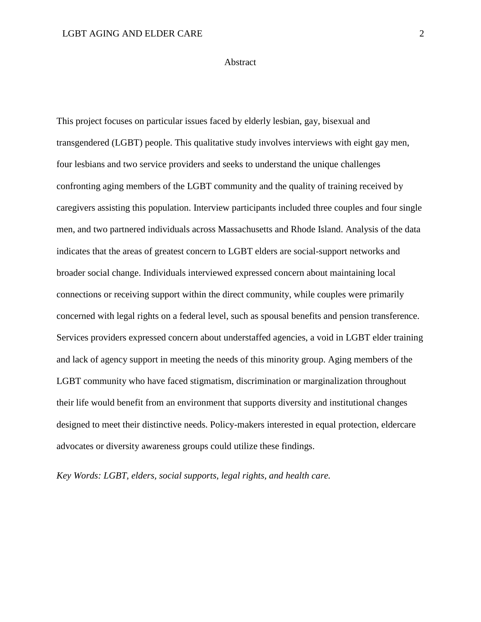## Abstract

This project focuses on particular issues faced by elderly lesbian, gay, bisexual and transgendered (LGBT) people. This qualitative study involves interviews with eight gay men, four lesbians and two service providers and seeks to understand the unique challenges confronting aging members of the LGBT community and the quality of training received by caregivers assisting this population. Interview participants included three couples and four single men, and two partnered individuals across Massachusetts and Rhode Island. Analysis of the data indicates that the areas of greatest concern to LGBT elders are social-support networks and broader social change. Individuals interviewed expressed concern about maintaining local connections or receiving support within the direct community, while couples were primarily concerned with legal rights on a federal level, such as spousal benefits and pension transference. Services providers expressed concern about understaffed agencies, a void in LGBT elder training and lack of agency support in meeting the needs of this minority group. Aging members of the LGBT community who have faced stigmatism, discrimination or marginalization throughout their life would benefit from an environment that supports diversity and institutional changes designed to meet their distinctive needs. Policy-makers interested in equal protection, eldercare advocates or diversity awareness groups could utilize these findings.

*Key Words: LGBT, elders, social supports, legal rights, and health care.*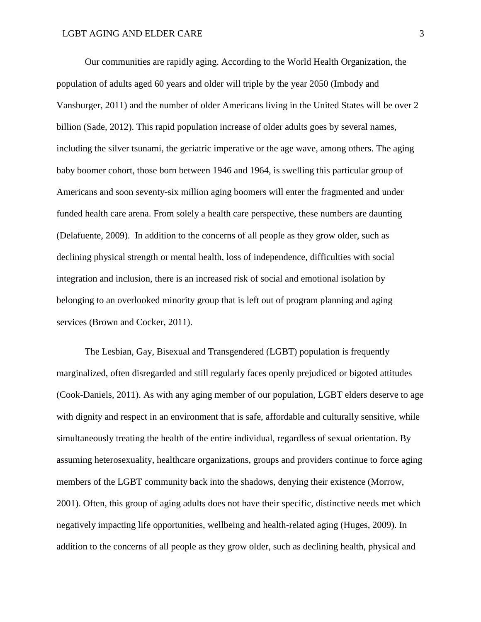Our communities are rapidly aging. According to the World Health Organization, the population of adults aged 60 years and older will triple by the year 2050 (Imbody and Vansburger, 2011) and the number of older Americans living in the United States will be over 2 billion (Sade, 2012). This rapid population increase of older adults goes by several names, including the silver tsunami, the geriatric imperative or the age wave, among others. The aging baby boomer cohort, those born between 1946 and 1964, is swelling this particular group of Americans and soon seventy-six million aging boomers will enter the fragmented and under funded health care arena. From solely a health care perspective, these numbers are daunting (Delafuente, 2009). In addition to the concerns of all people as they grow older, such as declining physical strength or mental health, loss of independence, difficulties with social integration and inclusion, there is an increased risk of social and emotional isolation by belonging to an overlooked minority group that is left out of program planning and aging services (Brown and Cocker, 2011).

The Lesbian, Gay, Bisexual and Transgendered (LGBT) population is frequently marginalized, often disregarded and still regularly faces openly prejudiced or bigoted attitudes (Cook-Daniels, 2011). As with any aging member of our population, LGBT elders deserve to age with dignity and respect in an environment that is safe, affordable and culturally sensitive, while simultaneously treating the health of the entire individual, regardless of sexual orientation. By assuming heterosexuality, healthcare organizations, groups and providers continue to force aging members of the LGBT community back into the shadows, denying their existence (Morrow, 2001). Often, this group of aging adults does not have their specific, distinctive needs met which negatively impacting life opportunities, wellbeing and health-related aging (Huges, 2009). In addition to the concerns of all people as they grow older, such as declining health, physical and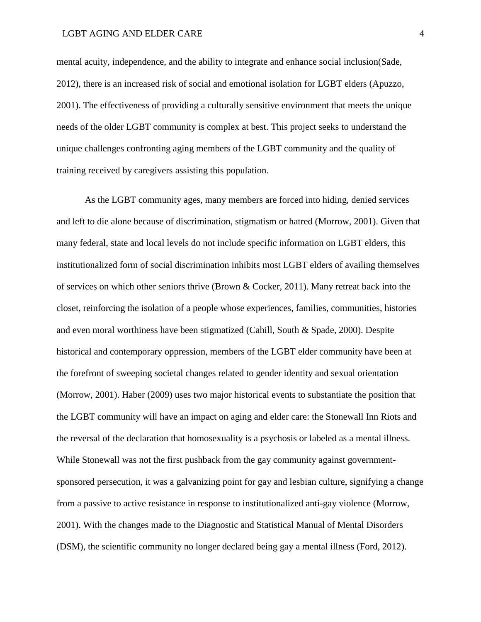#### LGBT AGING AND ELDER CARE 4

mental acuity, independence, and the ability to integrate and enhance social inclusion(Sade, 2012), there is an increased risk of social and emotional isolation for LGBT elders (Apuzzo, 2001). The effectiveness of providing a culturally sensitive environment that meets the unique needs of the older LGBT community is complex at best. This project seeks to understand the unique challenges confronting aging members of the LGBT community and the quality of training received by caregivers assisting this population.

As the LGBT community ages, many members are forced into hiding, denied services and left to die alone because of discrimination, stigmatism or hatred (Morrow, 2001). Given that many federal, state and local levels do not include specific information on LGBT elders, this institutionalized form of social discrimination inhibits most LGBT elders of availing themselves of services on which other seniors thrive (Brown & Cocker, 2011). Many retreat back into the closet, reinforcing the isolation of a people whose experiences, families, communities, histories and even moral worthiness have been stigmatized (Cahill, South & Spade, 2000). Despite historical and contemporary oppression, members of the LGBT elder community have been at the forefront of sweeping societal changes related to gender identity and sexual orientation (Morrow, 2001). Haber (2009) uses two major historical events to substantiate the position that the LGBT community will have an impact on aging and elder care: the Stonewall Inn Riots and the reversal of the declaration that homosexuality is a psychosis or labeled as a mental illness. While Stonewall was not the first pushback from the gay community against governmentsponsored persecution, it was a galvanizing point for gay and lesbian culture, signifying a change from a passive to active resistance in response to institutionalized anti-gay violence (Morrow, 2001). With the changes made to the Diagnostic and Statistical Manual of Mental Disorders (DSM), the scientific community no longer declared being gay a mental illness (Ford, 2012).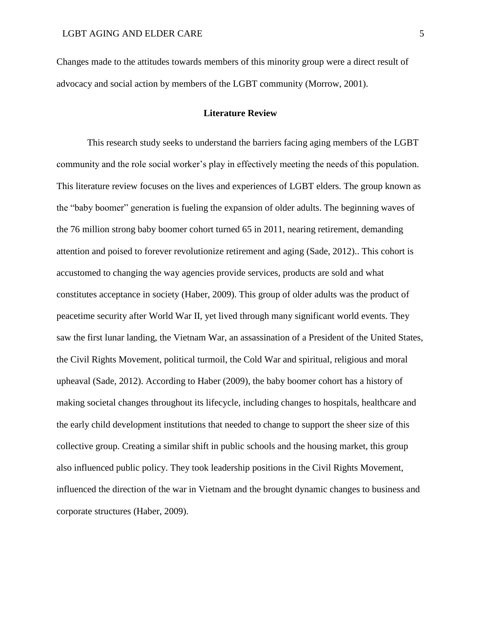Changes made to the attitudes towards members of this minority group were a direct result of advocacy and social action by members of the LGBT community (Morrow, 2001).

## **Literature Review**

This research study seeks to understand the barriers facing aging members of the LGBT community and the role social worker's play in effectively meeting the needs of this population. This literature review focuses on the lives and experiences of LGBT elders. The group known as the "baby boomer" generation is fueling the expansion of older adults. The beginning waves of the 76 million strong baby boomer cohort turned 65 in 2011, nearing retirement, demanding attention and poised to forever revolutionize retirement and aging (Sade, 2012).. This cohort is accustomed to changing the way agencies provide services, products are sold and what constitutes acceptance in society (Haber, 2009). This group of older adults was the product of peacetime security after World War II, yet lived through many significant world events. They saw the first lunar landing, the Vietnam War, an assassination of a President of the United States, the Civil Rights Movement, political turmoil, the Cold War and spiritual, religious and moral upheaval (Sade, 2012). According to Haber (2009), the baby boomer cohort has a history of making societal changes throughout its lifecycle, including changes to hospitals, healthcare and the early child development institutions that needed to change to support the sheer size of this collective group. Creating a similar shift in public schools and the housing market, this group also influenced public policy. They took leadership positions in the Civil Rights Movement, influenced the direction of the war in Vietnam and the brought dynamic changes to business and corporate structures (Haber, 2009).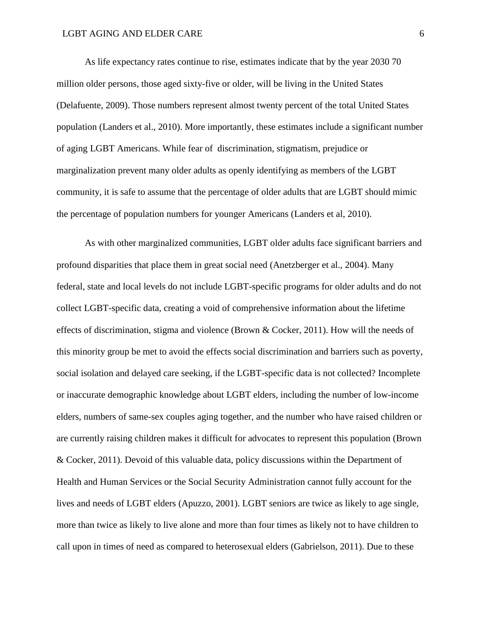As life expectancy rates continue to rise, estimates indicate that by the year 2030 70 million older persons, those aged sixty-five or older, will be living in the United States (Delafuente, 2009). Those numbers represent almost twenty percent of the total United States population (Landers et al., 2010). More importantly, these estimates include a significant number of aging LGBT Americans. While fear of discrimination, stigmatism, prejudice or marginalization prevent many older adults as openly identifying as members of the LGBT community, it is safe to assume that the percentage of older adults that are LGBT should mimic the percentage of population numbers for younger Americans (Landers et al, 2010).

As with other marginalized communities, LGBT older adults face significant barriers and profound disparities that place them in great social need (Anetzberger et al., 2004). Many federal, state and local levels do not include LGBT-specific programs for older adults and do not collect LGBT-specific data, creating a void of comprehensive information about the lifetime effects of discrimination, stigma and violence (Brown & Cocker, 2011). How will the needs of this minority group be met to avoid the effects social discrimination and barriers such as poverty, social isolation and delayed care seeking, if the LGBT-specific data is not collected? Incomplete or inaccurate demographic knowledge about LGBT elders, including the number of low-income elders, numbers of same-sex couples aging together, and the number who have raised children or are currently raising children makes it difficult for advocates to represent this population (Brown & Cocker, 2011). Devoid of this valuable data, policy discussions within the Department of Health and Human Services or the Social Security Administration cannot fully account for the lives and needs of LGBT elders (Apuzzo, 2001). LGBT seniors are twice as likely to age single, more than twice as likely to live alone and more than four times as likely not to have children to call upon in times of need as compared to heterosexual elders (Gabrielson, 2011). Due to these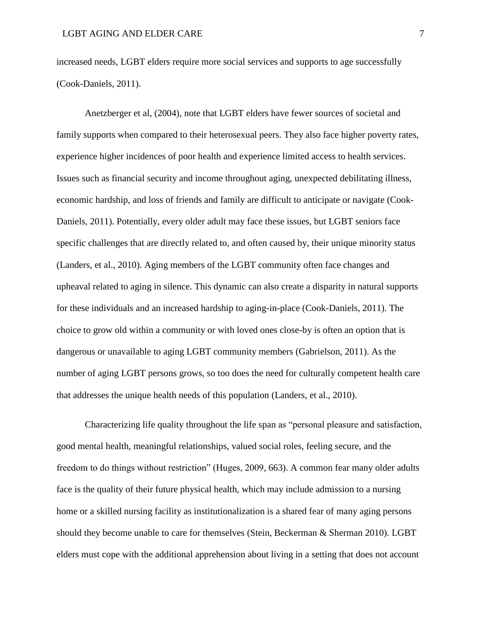increased needs, LGBT elders require more social services and supports to age successfully (Cook-Daniels, 2011).

Anetzberger et al, (2004), note that LGBT elders have fewer sources of societal and family supports when compared to their heterosexual peers. They also face higher poverty rates, experience higher incidences of poor health and experience limited access to health services. Issues such as financial security and income throughout aging, unexpected debilitating illness, economic hardship, and loss of friends and family are difficult to anticipate or navigate (Cook-Daniels, 2011). Potentially, every older adult may face these issues, but LGBT seniors face specific challenges that are directly related to, and often caused by, their unique minority status (Landers, et al., 2010). Aging members of the LGBT community often face changes and upheaval related to aging in silence. This dynamic can also create a disparity in natural supports for these individuals and an increased hardship to aging-in-place (Cook-Daniels, 2011). The choice to grow old within a community or with loved ones close-by is often an option that is dangerous or unavailable to aging LGBT community members (Gabrielson, 2011). As the number of aging LGBT persons grows, so too does the need for culturally competent health care that addresses the unique health needs of this population (Landers, et al., 2010).

Characterizing life quality throughout the life span as "personal pleasure and satisfaction, good mental health, meaningful relationships, valued social roles, feeling secure, and the freedom to do things without restriction" (Huges, 2009, 663). A common fear many older adults face is the quality of their future physical health, which may include admission to a nursing home or a skilled nursing facility as institutionalization is a shared fear of many aging persons should they become unable to care for themselves (Stein, Beckerman & Sherman 2010). LGBT elders must cope with the additional apprehension about living in a setting that does not account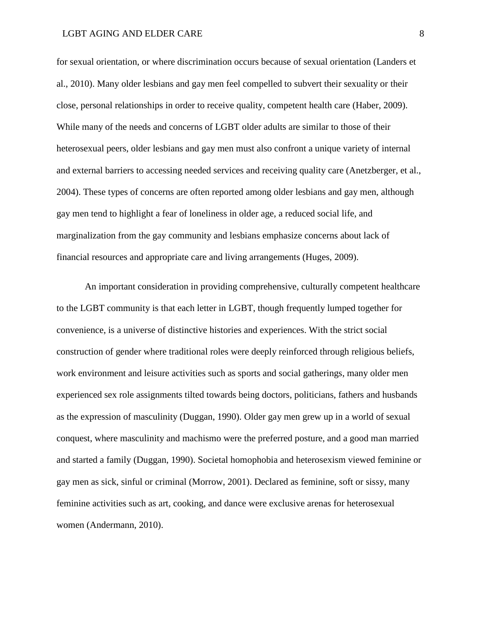for sexual orientation, or where discrimination occurs because of sexual orientation (Landers et al., 2010). Many older lesbians and gay men feel compelled to subvert their sexuality or their close, personal relationships in order to receive quality, competent health care (Haber, 2009). While many of the needs and concerns of LGBT older adults are similar to those of their heterosexual peers, older lesbians and gay men must also confront a unique variety of internal and external barriers to accessing needed services and receiving quality care (Anetzberger, et al., 2004). These types of concerns are often reported among older lesbians and gay men, although gay men tend to highlight a fear of loneliness in older age, a reduced social life, and marginalization from the gay community and lesbians emphasize concerns about lack of financial resources and appropriate care and living arrangements (Huges, 2009).

An important consideration in providing comprehensive, culturally competent healthcare to the LGBT community is that each letter in LGBT, though frequently lumped together for convenience, is a universe of distinctive histories and experiences. With the strict social construction of gender where traditional roles were deeply reinforced through religious beliefs, work environment and leisure activities such as sports and social gatherings, many older men experienced sex role assignments tilted towards being doctors, politicians, fathers and husbands as the expression of masculinity (Duggan, 1990). Older gay men grew up in a world of sexual conquest, where masculinity and machismo were the preferred posture, and a good man married and started a family (Duggan, 1990). Societal homophobia and heterosexism viewed feminine or gay men as sick, sinful or criminal (Morrow, 2001). Declared as feminine, soft or sissy, many feminine activities such as art, cooking, and dance were exclusive arenas for heterosexual women (Andermann, 2010).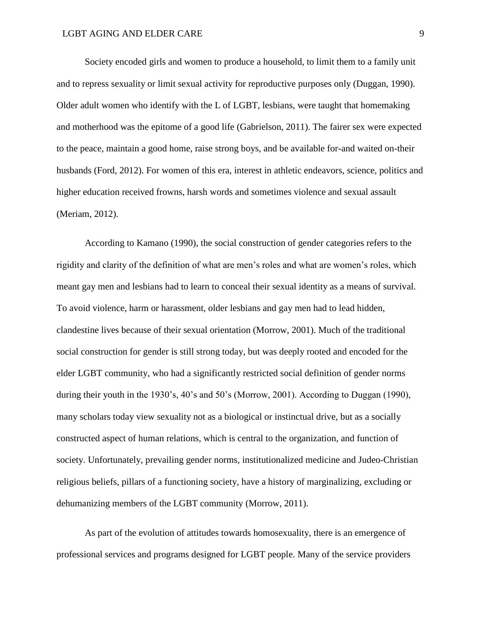Society encoded girls and women to produce a household, to limit them to a family unit and to repress sexuality or limit sexual activity for reproductive purposes only (Duggan, 1990). Older adult women who identify with the L of LGBT, lesbians, were taught that homemaking and motherhood was the epitome of a good life (Gabrielson, 2011). The fairer sex were expected to the peace, maintain a good home, raise strong boys, and be available for-and waited on-their husbands (Ford, 2012). For women of this era, interest in athletic endeavors, science, politics and higher education received frowns, harsh words and sometimes violence and sexual assault (Meriam, 2012).

According to Kamano (1990), the social construction of gender categories refers to the rigidity and clarity of the definition of what are men's roles and what are women's roles, which meant gay men and lesbians had to learn to conceal their sexual identity as a means of survival. To avoid violence, harm or harassment, older lesbians and gay men had to lead hidden, clandestine lives because of their sexual orientation (Morrow, 2001). Much of the traditional social construction for gender is still strong today, but was deeply rooted and encoded for the elder LGBT community, who had a significantly restricted social definition of gender norms during their youth in the 1930's, 40's and 50's (Morrow, 2001). According to Duggan (1990), many scholars today view sexuality not as a biological or instinctual drive, but as a socially constructed aspect of human relations, which is central to the organization, and function of society. Unfortunately, prevailing gender norms, institutionalized medicine and Judeo-Christian religious beliefs, pillars of a functioning society, have a history of marginalizing, excluding or dehumanizing members of the LGBT community (Morrow, 2011).

As part of the evolution of attitudes towards homosexuality, there is an emergence of professional services and programs designed for LGBT people. Many of the service providers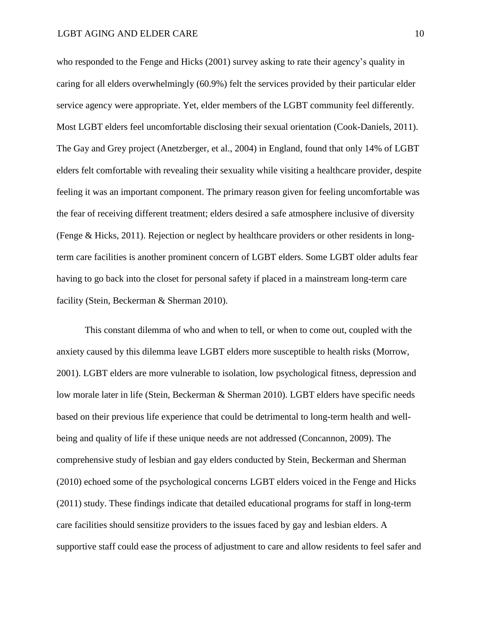who responded to the Fenge and Hicks (2001) survey asking to rate their agency's quality in caring for all elders overwhelmingly (60.9%) felt the services provided by their particular elder service agency were appropriate. Yet, elder members of the LGBT community feel differently. Most LGBT elders feel uncomfortable disclosing their sexual orientation (Cook-Daniels, 2011). The Gay and Grey project (Anetzberger, et al., 2004) in England, found that only 14% of LGBT elders felt comfortable with revealing their sexuality while visiting a healthcare provider, despite feeling it was an important component. The primary reason given for feeling uncomfortable was the fear of receiving different treatment; elders desired a safe atmosphere inclusive of diversity (Fenge & Hicks, 2011). Rejection or neglect by healthcare providers or other residents in longterm care facilities is another prominent concern of LGBT elders. Some LGBT older adults fear having to go back into the closet for personal safety if placed in a mainstream long-term care facility (Stein, Beckerman & Sherman 2010).

This constant dilemma of who and when to tell, or when to come out, coupled with the anxiety caused by this dilemma leave LGBT elders more susceptible to health risks (Morrow, 2001). LGBT elders are more vulnerable to isolation, low psychological fitness, depression and low morale later in life (Stein, Beckerman & Sherman 2010). LGBT elders have specific needs based on their previous life experience that could be detrimental to long-term health and wellbeing and quality of life if these unique needs are not addressed (Concannon, 2009). The comprehensive study of lesbian and gay elders conducted by Stein, Beckerman and Sherman (2010) echoed some of the psychological concerns LGBT elders voiced in the Fenge and Hicks (2011) study. These findings indicate that detailed educational programs for staff in long-term care facilities should sensitize providers to the issues faced by gay and lesbian elders. A supportive staff could ease the process of adjustment to care and allow residents to feel safer and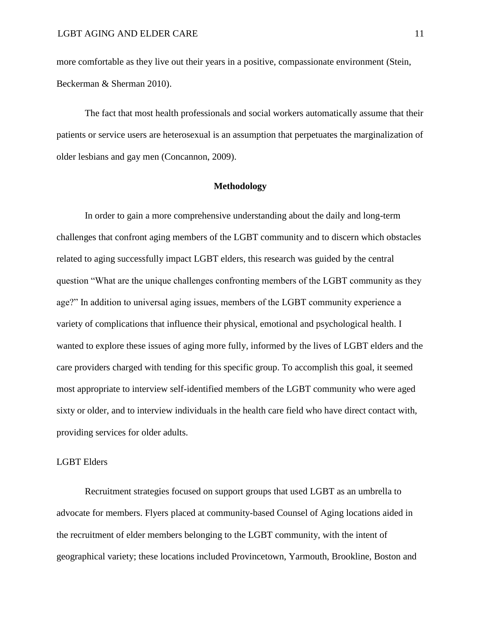more comfortable as they live out their years in a positive, compassionate environment (Stein, Beckerman & Sherman 2010).

The fact that most health professionals and social workers automatically assume that their patients or service users are heterosexual is an assumption that perpetuates the marginalization of older lesbians and gay men (Concannon, 2009).

## **Methodology**

In order to gain a more comprehensive understanding about the daily and long-term challenges that confront aging members of the LGBT community and to discern which obstacles related to aging successfully impact LGBT elders, this research was guided by the central question "What are the unique challenges confronting members of the LGBT community as they age?" In addition to universal aging issues, members of the LGBT community experience a variety of complications that influence their physical, emotional and psychological health. I wanted to explore these issues of aging more fully, informed by the lives of LGBT elders and the care providers charged with tending for this specific group. To accomplish this goal, it seemed most appropriate to interview self-identified members of the LGBT community who were aged sixty or older, and to interview individuals in the health care field who have direct contact with, providing services for older adults.

## LGBT Elders

Recruitment strategies focused on support groups that used LGBT as an umbrella to advocate for members. Flyers placed at community-based Counsel of Aging locations aided in the recruitment of elder members belonging to the LGBT community, with the intent of geographical variety; these locations included Provincetown, Yarmouth, Brookline, Boston and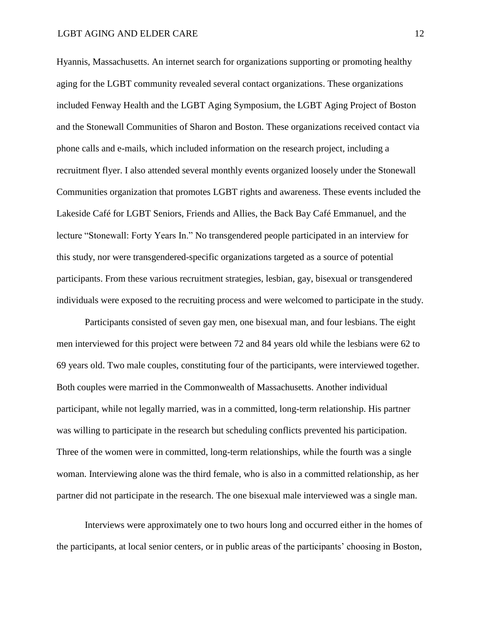Hyannis, Massachusetts. An internet search for organizations supporting or promoting healthy aging for the LGBT community revealed several contact organizations. These organizations included Fenway Health and the LGBT Aging Symposium, the LGBT Aging Project of Boston and the Stonewall Communities of Sharon and Boston. These organizations received contact via phone calls and e-mails, which included information on the research project, including a recruitment flyer. I also attended several monthly events organized loosely under the Stonewall Communities organization that promotes LGBT rights and awareness. These events included the Lakeside Café for LGBT Seniors, Friends and Allies, the Back Bay Café Emmanuel, and the lecture "Stonewall: Forty Years In." No transgendered people participated in an interview for this study, nor were transgendered-specific organizations targeted as a source of potential participants. From these various recruitment strategies, lesbian, gay, bisexual or transgendered individuals were exposed to the recruiting process and were welcomed to participate in the study.

Participants consisted of seven gay men, one bisexual man, and four lesbians. The eight men interviewed for this project were between 72 and 84 years old while the lesbians were 62 to 69 years old. Two male couples, constituting four of the participants, were interviewed together. Both couples were married in the Commonwealth of Massachusetts. Another individual participant, while not legally married, was in a committed, long-term relationship. His partner was willing to participate in the research but scheduling conflicts prevented his participation. Three of the women were in committed, long-term relationships, while the fourth was a single woman. Interviewing alone was the third female, who is also in a committed relationship, as her partner did not participate in the research. The one bisexual male interviewed was a single man.

Interviews were approximately one to two hours long and occurred either in the homes of the participants, at local senior centers, or in public areas of the participants' choosing in Boston,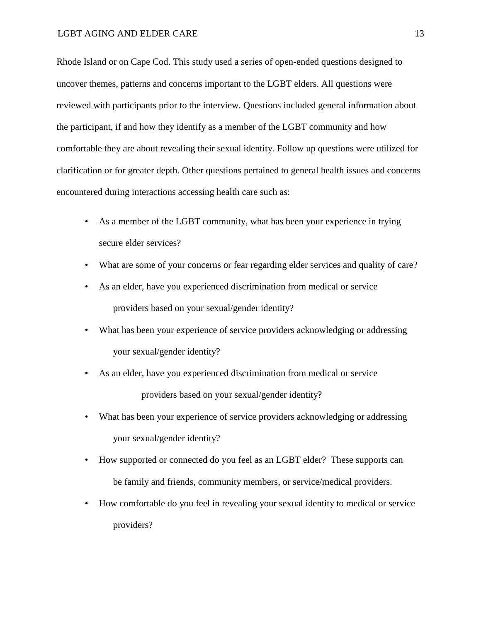Rhode Island or on Cape Cod. This study used a series of open-ended questions designed to uncover themes, patterns and concerns important to the LGBT elders. All questions were reviewed with participants prior to the interview. Questions included general information about the participant, if and how they identify as a member of the LGBT community and how comfortable they are about revealing their sexual identity. Follow up questions were utilized for clarification or for greater depth. Other questions pertained to general health issues and concerns encountered during interactions accessing health care such as:

- As a member of the LGBT community, what has been your experience in trying secure elder services?
- What are some of your concerns or fear regarding elder services and quality of care?
- As an elder, have you experienced discrimination from medical or service providers based on your sexual/gender identity?
- What has been your experience of service providers acknowledging or addressing your sexual/gender identity?
- As an elder, have you experienced discrimination from medical or service providers based on your sexual/gender identity?
- What has been your experience of service providers acknowledging or addressing your sexual/gender identity?
- How supported or connected do you feel as an LGBT elder? These supports can be family and friends, community members, or service/medical providers.
- How comfortable do you feel in revealing your sexual identity to medical or service providers?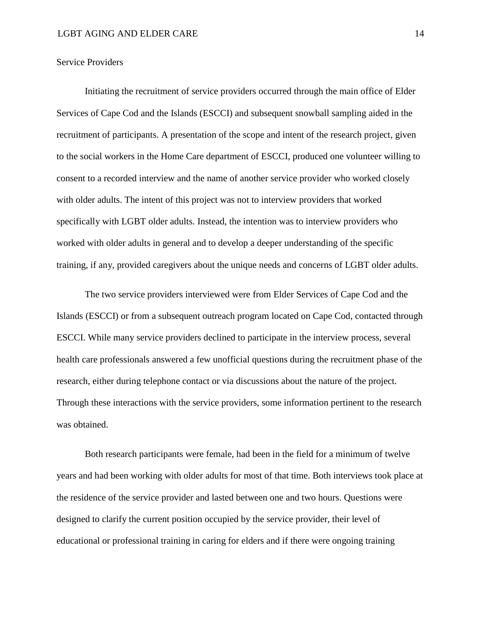## Service Providers

Initiating the recruitment of service providers occurred through the main office of Elder Services of Cape Cod and the Islands (ESCCI) and subsequent snowball sampling aided in the recruitment of participants. A presentation of the scope and intent of the research project, given to the social workers in the Home Care department of ESCCI, produced one volunteer willing to consent to a recorded interview and the name of another service provider who worked closely with older adults. The intent of this project was not to interview providers that worked specifically with LGBT older adults. Instead, the intention was to interview providers who worked with older adults in general and to develop a deeper understanding of the specific training, if any, provided caregivers about the unique needs and concerns of LGBT older adults.

The two service providers interviewed were from Elder Services of Cape Cod and the Islands (ESCCI) or from a subsequent outreach program located on Cape Cod, contacted through ESCCI. While many service providers declined to participate in the interview process, several health care professionals answered a few unofficial questions during the recruitment phase of the research, either during telephone contact or via discussions about the nature of the project. Through these interactions with the service providers, some information pertinent to the research was obtained.

Both research participants were female, had been in the field for a minimum of twelve years and had been working with older adults for most of that time. Both interviews took place at the residence of the service provider and lasted between one and two hours. Questions were designed to clarify the current position occupied by the service provider, their level of educational or professional training in caring for elders and if there were ongoing training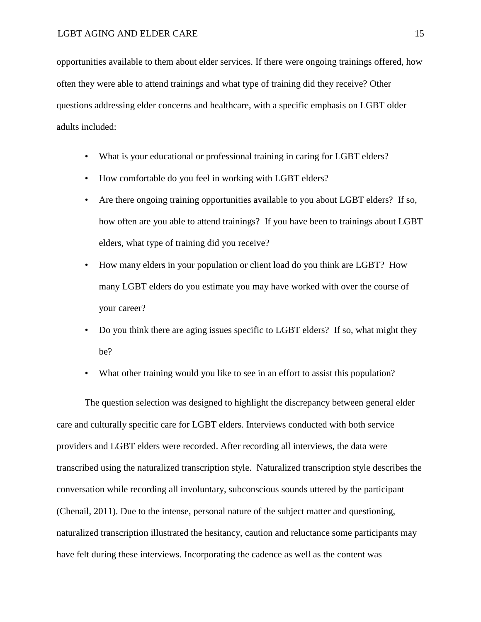opportunities available to them about elder services. If there were ongoing trainings offered, how often they were able to attend trainings and what type of training did they receive? Other questions addressing elder concerns and healthcare, with a specific emphasis on LGBT older adults included:

- What is your educational or professional training in caring for LGBT elders?
- How comfortable do you feel in working with LGBT elders?
- Are there ongoing training opportunities available to you about LGBT elders? If so, how often are you able to attend trainings? If you have been to trainings about LGBT elders, what type of training did you receive?
- How many elders in your population or client load do you think are LGBT? How many LGBT elders do you estimate you may have worked with over the course of your career?
- Do you think there are aging issues specific to LGBT elders? If so, what might they be?
- What other training would you like to see in an effort to assist this population?

The question selection was designed to highlight the discrepancy between general elder care and culturally specific care for LGBT elders. Interviews conducted with both service providers and LGBT elders were recorded. After recording all interviews, the data were transcribed using the naturalized transcription style. Naturalized transcription style describes the conversation while recording all involuntary, subconscious sounds uttered by the participant (Chenail, 2011). Due to the intense, personal nature of the subject matter and questioning, naturalized transcription illustrated the hesitancy, caution and reluctance some participants may have felt during these interviews. Incorporating the cadence as well as the content was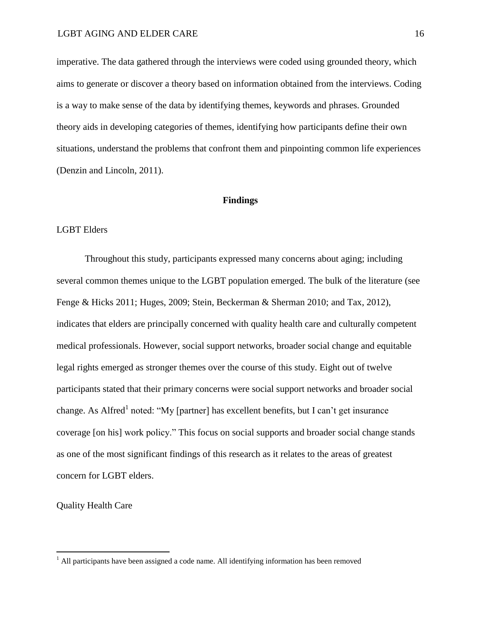imperative. The data gathered through the interviews were coded using grounded theory, which aims to generate or discover a theory based on information obtained from the interviews. Coding is a way to make sense of the data by identifying themes, keywords and phrases. Grounded theory aids in developing categories of themes, identifying how participants define their own situations, understand the problems that confront them and pinpointing common life experiences (Denzin and Lincoln, 2011).

#### **Findings**

## LGBT Elders

Throughout this study, participants expressed many concerns about aging; including several common themes unique to the LGBT population emerged. The bulk of the literature (see Fenge & Hicks 2011; Huges, 2009; Stein, Beckerman & Sherman 2010; and Tax, 2012), indicates that elders are principally concerned with quality health care and culturally competent medical professionals. However, social support networks, broader social change and equitable legal rights emerged as stronger themes over the course of this study. Eight out of twelve participants stated that their primary concerns were social support networks and broader social change. As Alfred<sup>1</sup> noted: "My [partner] has excellent benefits, but I can't get insurance coverage [on his] work policy." This focus on social supports and broader social change stands as one of the most significant findings of this research as it relates to the areas of greatest concern for LGBT elders.

Quality Health Care

 $\overline{a}$ 

 $<sup>1</sup>$  All participants have been assigned a code name. All identifying information has been removed</sup>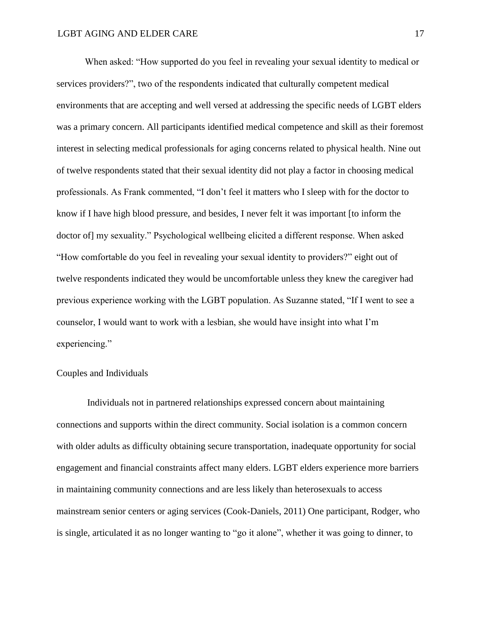When asked: "How supported do you feel in revealing your sexual identity to medical or services providers?", two of the respondents indicated that culturally competent medical environments that are accepting and well versed at addressing the specific needs of LGBT elders was a primary concern. All participants identified medical competence and skill as their foremost interest in selecting medical professionals for aging concerns related to physical health. Nine out of twelve respondents stated that their sexual identity did not play a factor in choosing medical professionals. As Frank commented, "I don't feel it matters who I sleep with for the doctor to know if I have high blood pressure, and besides, I never felt it was important [to inform the doctor of] my sexuality." Psychological wellbeing elicited a different response. When asked "How comfortable do you feel in revealing your sexual identity to providers?" eight out of twelve respondents indicated they would be uncomfortable unless they knew the caregiver had previous experience working with the LGBT population. As Suzanne stated, "If I went to see a counselor, I would want to work with a lesbian, she would have insight into what I'm experiencing."

## Couples and Individuals

Individuals not in partnered relationships expressed concern about maintaining connections and supports within the direct community. Social isolation is a common concern with older adults as difficulty obtaining secure transportation, inadequate opportunity for social engagement and financial constraints affect many elders. LGBT elders experience more barriers in maintaining community connections and are less likely than heterosexuals to access mainstream senior centers or aging services (Cook-Daniels, 2011) One participant, Rodger, who is single, articulated it as no longer wanting to "go it alone", whether it was going to dinner, to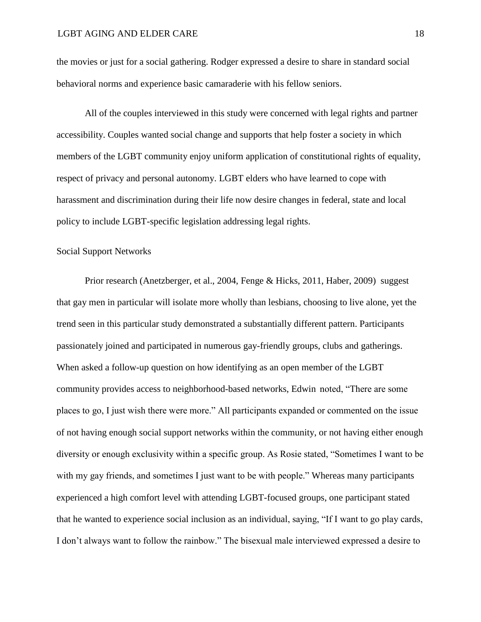the movies or just for a social gathering. Rodger expressed a desire to share in standard social behavioral norms and experience basic camaraderie with his fellow seniors.

All of the couples interviewed in this study were concerned with legal rights and partner accessibility. Couples wanted social change and supports that help foster a society in which members of the LGBT community enjoy uniform application of constitutional rights of equality, respect of privacy and personal autonomy. LGBT elders who have learned to cope with harassment and discrimination during their life now desire changes in federal, state and local policy to include LGBT-specific legislation addressing legal rights.

## Social Support Networks

Prior research (Anetzberger, et al., 2004, Fenge & Hicks, 2011, Haber, 2009) suggest that gay men in particular will isolate more wholly than lesbians, choosing to live alone, yet the trend seen in this particular study demonstrated a substantially different pattern. Participants passionately joined and participated in numerous gay-friendly groups, clubs and gatherings. When asked a follow-up question on how identifying as an open member of the LGBT community provides access to neighborhood-based networks, Edwin noted, "There are some places to go, I just wish there were more." All participants expanded or commented on the issue of not having enough social support networks within the community, or not having either enough diversity or enough exclusivity within a specific group. As Rosie stated, "Sometimes I want to be with my gay friends, and sometimes I just want to be with people." Whereas many participants experienced a high comfort level with attending LGBT-focused groups, one participant stated that he wanted to experience social inclusion as an individual, saying, "If I want to go play cards, I don't always want to follow the rainbow." The bisexual male interviewed expressed a desire to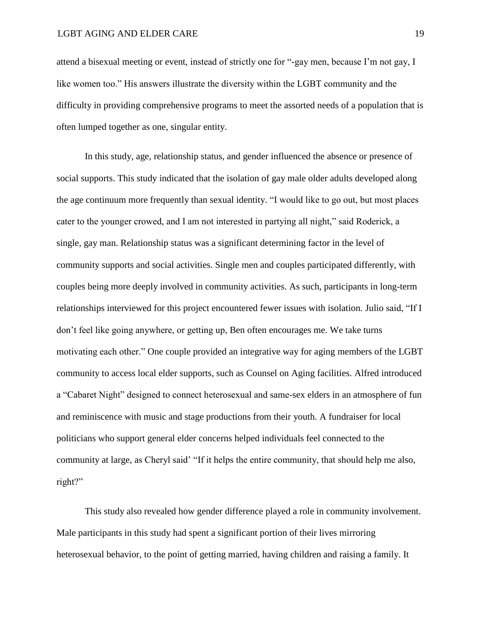attend a bisexual meeting or event, instead of strictly one for "-gay men, because I'm not gay, I like women too." His answers illustrate the diversity within the LGBT community and the difficulty in providing comprehensive programs to meet the assorted needs of a population that is often lumped together as one, singular entity.

In this study, age, relationship status, and gender influenced the absence or presence of social supports. This study indicated that the isolation of gay male older adults developed along the age continuum more frequently than sexual identity. "I would like to go out, but most places cater to the younger crowed, and I am not interested in partying all night," said Roderick, a single, gay man. Relationship status was a significant determining factor in the level of community supports and social activities. Single men and couples participated differently, with couples being more deeply involved in community activities. As such, participants in long-term relationships interviewed for this project encountered fewer issues with isolation. Julio said, "If I don't feel like going anywhere, or getting up, Ben often encourages me. We take turns motivating each other." One couple provided an integrative way for aging members of the LGBT community to access local elder supports, such as Counsel on Aging facilities. Alfred introduced a "Cabaret Night" designed to connect heterosexual and same-sex elders in an atmosphere of fun and reminiscence with music and stage productions from their youth. A fundraiser for local politicians who support general elder concerns helped individuals feel connected to the community at large, as Cheryl said' "If it helps the entire community, that should help me also, right?"

This study also revealed how gender difference played a role in community involvement. Male participants in this study had spent a significant portion of their lives mirroring heterosexual behavior, to the point of getting married, having children and raising a family. It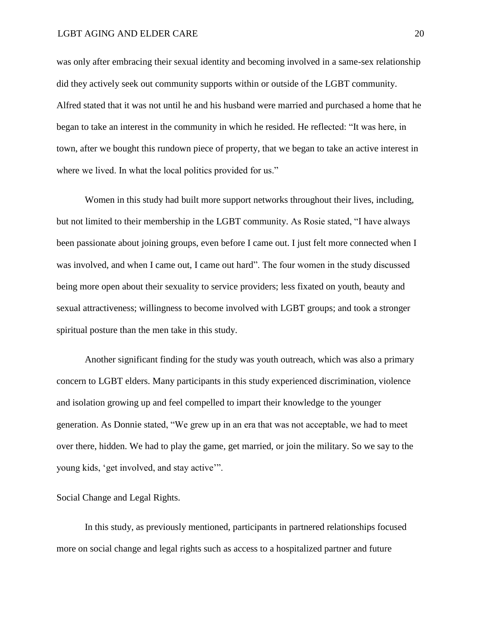#### LGBT AGING AND ELDER CARE 20

was only after embracing their sexual identity and becoming involved in a same-sex relationship did they actively seek out community supports within or outside of the LGBT community. Alfred stated that it was not until he and his husband were married and purchased a home that he began to take an interest in the community in which he resided. He reflected: "It was here, in town, after we bought this rundown piece of property, that we began to take an active interest in where we lived. In what the local politics provided for us."

Women in this study had built more support networks throughout their lives, including, but not limited to their membership in the LGBT community. As Rosie stated, "I have always been passionate about joining groups, even before I came out. I just felt more connected when I was involved, and when I came out, I came out hard". The four women in the study discussed being more open about their sexuality to service providers; less fixated on youth, beauty and sexual attractiveness; willingness to become involved with LGBT groups; and took a stronger spiritual posture than the men take in this study.

Another significant finding for the study was youth outreach, which was also a primary concern to LGBT elders. Many participants in this study experienced discrimination, violence and isolation growing up and feel compelled to impart their knowledge to the younger generation. As Donnie stated, "We grew up in an era that was not acceptable, we had to meet over there, hidden. We had to play the game, get married, or join the military. So we say to the young kids, 'get involved, and stay active'".

## Social Change and Legal Rights.

In this study, as previously mentioned, participants in partnered relationships focused more on social change and legal rights such as access to a hospitalized partner and future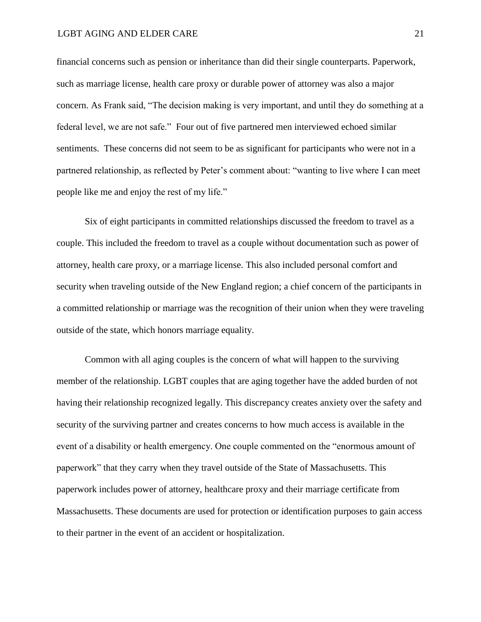financial concerns such as pension or inheritance than did their single counterparts. Paperwork, such as marriage license, health care proxy or durable power of attorney was also a major concern. As Frank said, "The decision making is very important, and until they do something at a federal level, we are not safe." Four out of five partnered men interviewed echoed similar sentiments. These concerns did not seem to be as significant for participants who were not in a partnered relationship, as reflected by Peter's comment about: "wanting to live where I can meet people like me and enjoy the rest of my life."

Six of eight participants in committed relationships discussed the freedom to travel as a couple. This included the freedom to travel as a couple without documentation such as power of attorney, health care proxy, or a marriage license. This also included personal comfort and security when traveling outside of the New England region; a chief concern of the participants in a committed relationship or marriage was the recognition of their union when they were traveling outside of the state, which honors marriage equality.

Common with all aging couples is the concern of what will happen to the surviving member of the relationship. LGBT couples that are aging together have the added burden of not having their relationship recognized legally. This discrepancy creates anxiety over the safety and security of the surviving partner and creates concerns to how much access is available in the event of a disability or health emergency. One couple commented on the "enormous amount of paperwork" that they carry when they travel outside of the State of Massachusetts. This paperwork includes power of attorney, healthcare proxy and their marriage certificate from Massachusetts. These documents are used for protection or identification purposes to gain access to their partner in the event of an accident or hospitalization.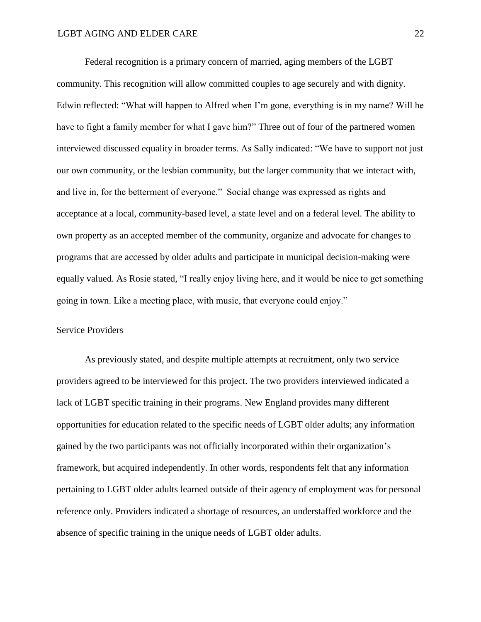Federal recognition is a primary concern of married, aging members of the LGBT community. This recognition will allow committed couples to age securely and with dignity. Edwin reflected: "What will happen to Alfred when I'm gone, everything is in my name? Will he have to fight a family member for what I gave him?" Three out of four of the partnered women interviewed discussed equality in broader terms. As Sally indicated: "We have to support not just our own community, or the lesbian community, but the larger community that we interact with, and live in, for the betterment of everyone." Social change was expressed as rights and acceptance at a local, community-based level, a state level and on a federal level. The ability to own property as an accepted member of the community, organize and advocate for changes to programs that are accessed by older adults and participate in municipal decision-making were equally valued. As Rosie stated, "I really enjoy living here, and it would be nice to get something going in town. Like a meeting place, with music, that everyone could enjoy."

## Service Providers

As previously stated, and despite multiple attempts at recruitment, only two service providers agreed to be interviewed for this project. The two providers interviewed indicated a lack of LGBT specific training in their programs. New England provides many different opportunities for education related to the specific needs of LGBT older adults; any information gained by the two participants was not officially incorporated within their organization's framework, but acquired independently. In other words, respondents felt that any information pertaining to LGBT older adults learned outside of their agency of employment was for personal reference only. Providers indicated a shortage of resources, an understaffed workforce and the absence of specific training in the unique needs of LGBT older adults.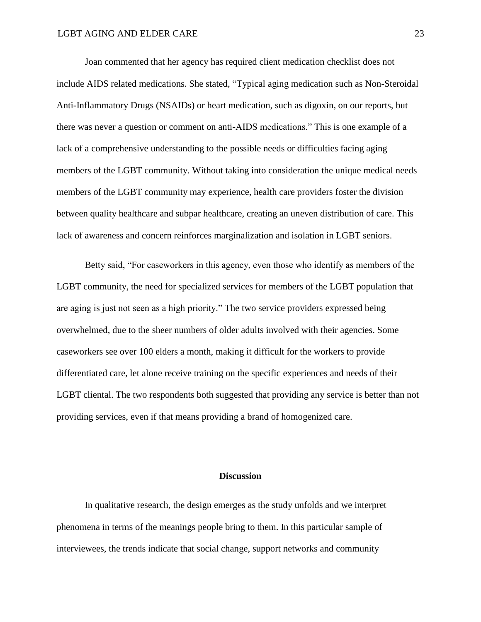Joan commented that her agency has required client medication checklist does not include AIDS related medications. She stated, "Typical aging medication such as Non-Steroidal Anti-Inflammatory Drugs (NSAIDs) or heart medication, such as digoxin, on our reports, but there was never a question or comment on anti-AIDS medications." This is one example of a lack of a comprehensive understanding to the possible needs or difficulties facing aging members of the LGBT community. Without taking into consideration the unique medical needs members of the LGBT community may experience, health care providers foster the division between quality healthcare and subpar healthcare, creating an uneven distribution of care. This lack of awareness and concern reinforces marginalization and isolation in LGBT seniors.

Betty said, "For caseworkers in this agency, even those who identify as members of the LGBT community, the need for specialized services for members of the LGBT population that are aging is just not seen as a high priority." The two service providers expressed being overwhelmed, due to the sheer numbers of older adults involved with their agencies. Some caseworkers see over 100 elders a month, making it difficult for the workers to provide differentiated care, let alone receive training on the specific experiences and needs of their LGBT cliental. The two respondents both suggested that providing any service is better than not providing services, even if that means providing a brand of homogenized care.

## **Discussion**

In qualitative research, the design emerges as the study unfolds and we interpret phenomena in terms of the meanings people bring to them. In this particular sample of interviewees, the trends indicate that social change, support networks and community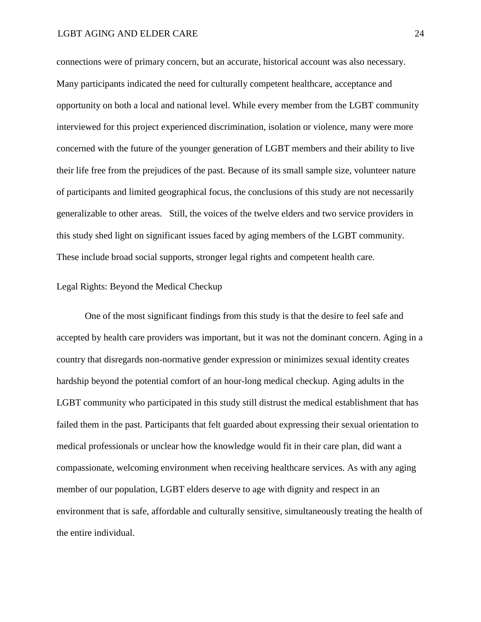#### LGBT AGING AND ELDER CARE 24

connections were of primary concern, but an accurate, historical account was also necessary. Many participants indicated the need for culturally competent healthcare, acceptance and opportunity on both a local and national level. While every member from the LGBT community interviewed for this project experienced discrimination, isolation or violence, many were more concerned with the future of the younger generation of LGBT members and their ability to live their life free from the prejudices of the past. Because of its small sample size, volunteer nature of participants and limited geographical focus, the conclusions of this study are not necessarily generalizable to other areas. Still, the voices of the twelve elders and two service providers in this study shed light on significant issues faced by aging members of the LGBT community. These include broad social supports, stronger legal rights and competent health care.

## Legal Rights: Beyond the Medical Checkup

One of the most significant findings from this study is that the desire to feel safe and accepted by health care providers was important, but it was not the dominant concern. Aging in a country that disregards non-normative gender expression or minimizes sexual identity creates hardship beyond the potential comfort of an hour-long medical checkup. Aging adults in the LGBT community who participated in this study still distrust the medical establishment that has failed them in the past. Participants that felt guarded about expressing their sexual orientation to medical professionals or unclear how the knowledge would fit in their care plan, did want a compassionate, welcoming environment when receiving healthcare services. As with any aging member of our population, LGBT elders deserve to age with dignity and respect in an environment that is safe, affordable and culturally sensitive, simultaneously treating the health of the entire individual.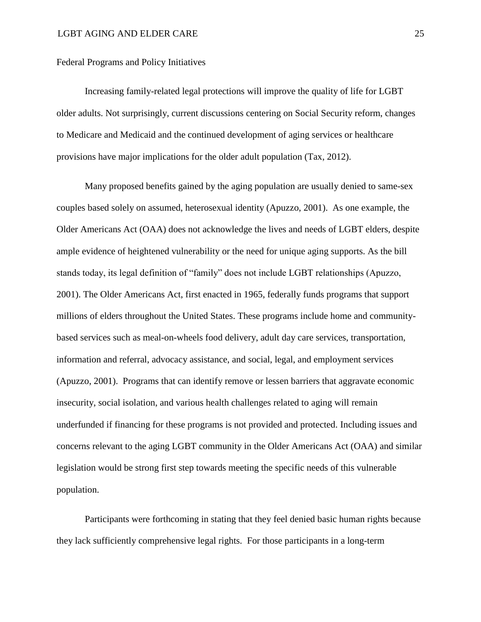Federal Programs and Policy Initiatives

Increasing family-related legal protections will improve the quality of life for LGBT older adults. Not surprisingly, current discussions centering on Social Security reform, changes to Medicare and Medicaid and the continued development of aging services or healthcare provisions have major implications for the older adult population (Tax, 2012).

Many proposed benefits gained by the aging population are usually denied to same-sex couples based solely on assumed, heterosexual identity (Apuzzo, 2001). As one example, the Older Americans Act (OAA) does not acknowledge the lives and needs of LGBT elders, despite ample evidence of heightened vulnerability or the need for unique aging supports. As the bill stands today, its legal definition of "family" does not include LGBT relationships (Apuzzo, 2001). The Older Americans Act, first enacted in 1965, federally funds programs that support millions of elders throughout the United States. These programs include home and communitybased services such as meal-on-wheels food delivery, adult day care services, transportation, information and referral, advocacy assistance, and social, legal, and employment services (Apuzzo, 2001). Programs that can identify remove or lessen barriers that aggravate economic insecurity, social isolation, and various health challenges related to aging will remain underfunded if financing for these programs is not provided and protected. Including issues and concerns relevant to the aging LGBT community in the Older Americans Act (OAA) and similar legislation would be strong first step towards meeting the specific needs of this vulnerable population.

Participants were forthcoming in stating that they feel denied basic human rights because they lack sufficiently comprehensive legal rights. For those participants in a long-term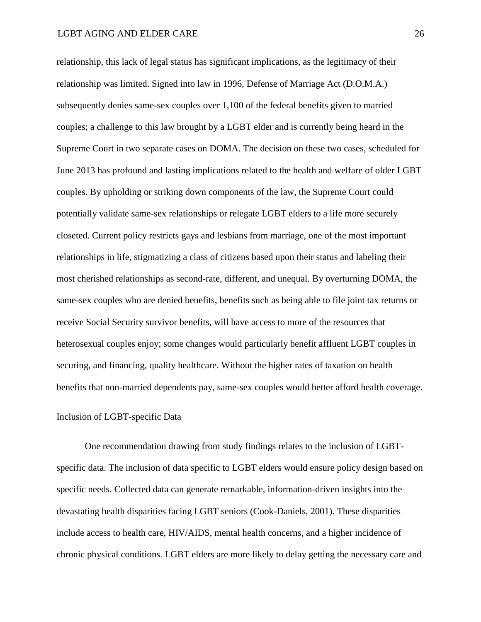relationship, this lack of legal status has significant implications, as the legitimacy of their relationship was limited. Signed into law in 1996, Defense of Marriage Act (D.O.M.A.) subsequently denies same-sex couples over 1,100 of the federal benefits given to married couples; a challenge to this law brought by a LGBT elder and is currently being heard in the Supreme Court in two separate cases on DOMA. The decision on these two cases, scheduled for June 2013 has profound and lasting implications related to the health and welfare of older LGBT couples. By upholding or striking down components of the law, the Supreme Court could potentially validate same-sex relationships or relegate LGBT elders to a life more securely closeted. Current policy restricts gays and lesbians from marriage, one of the most important relationships in life, stigmatizing a class of citizens based upon their status and labeling their most cherished relationships as second-rate, different, and unequal. By overturning DOMA, the same-sex couples who are denied benefits, benefits such as being able to file joint tax returns or receive Social Security survivor benefits, will have access to more of the resources that heterosexual couples enjoy; some changes would particularly benefit affluent LGBT couples in securing, and financing, quality healthcare. Without the higher rates of taxation on health benefits that non-married dependents pay, same-sex couples would better afford health coverage.

## Inclusion of LGBT-specific Data

One recommendation drawing from study findings relates to the inclusion of LGBTspecific data. The inclusion of data specific to LGBT elders would ensure policy design based on specific needs. Collected data can generate remarkable, information-driven insights into the devastating health disparities facing LGBT seniors (Cook-Daniels, 2001). These disparities include access to health care, HIV/AIDS, mental health concerns, and a higher incidence of chronic physical conditions. LGBT elders are more likely to delay getting the necessary care and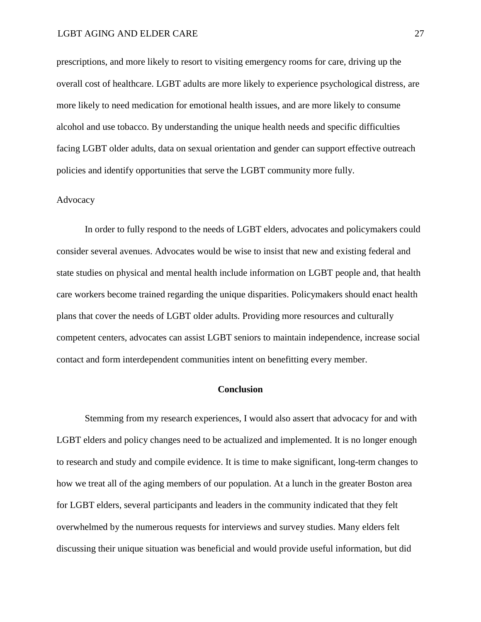## LGBT AGING AND ELDER CARE 27

prescriptions, and more likely to resort to visiting emergency rooms for care, driving up the overall cost of healthcare. LGBT adults are more likely to experience psychological distress, are more likely to need medication for emotional health issues, and are more likely to consume alcohol and use tobacco. By understanding the unique health needs and specific difficulties facing LGBT older adults, data on sexual orientation and gender can support effective outreach policies and identify opportunities that serve the LGBT community more fully.

## Advocacy

In order to fully respond to the needs of LGBT elders, advocates and policymakers could consider several avenues. Advocates would be wise to insist that new and existing federal and state studies on physical and mental health include information on LGBT people and, that health care workers become trained regarding the unique disparities. Policymakers should enact health plans that cover the needs of LGBT older adults. Providing more resources and culturally competent centers, advocates can assist LGBT seniors to maintain independence, increase social contact and form interdependent communities intent on benefitting every member.

## **Conclusion**

Stemming from my research experiences, I would also assert that advocacy for and with LGBT elders and policy changes need to be actualized and implemented. It is no longer enough to research and study and compile evidence. It is time to make significant, long-term changes to how we treat all of the aging members of our population. At a lunch in the greater Boston area for LGBT elders, several participants and leaders in the community indicated that they felt overwhelmed by the numerous requests for interviews and survey studies. Many elders felt discussing their unique situation was beneficial and would provide useful information, but did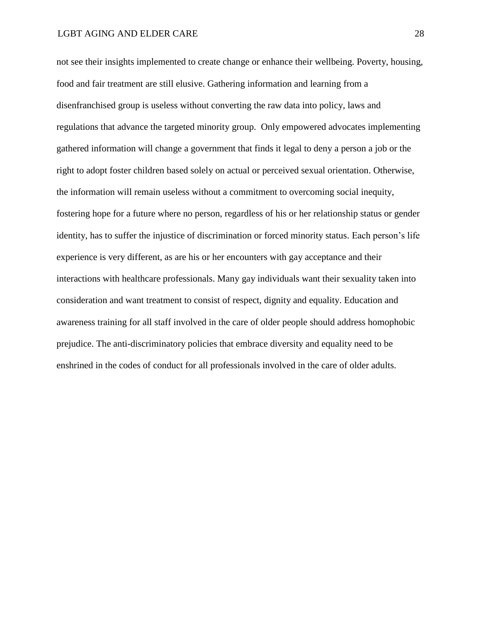not see their insights implemented to create change or enhance their wellbeing. Poverty, housing, food and fair treatment are still elusive. Gathering information and learning from a disenfranchised group is useless without converting the raw data into policy, laws and regulations that advance the targeted minority group. Only empowered advocates implementing gathered information will change a government that finds it legal to deny a person a job or the right to adopt foster children based solely on actual or perceived sexual orientation. Otherwise, the information will remain useless without a commitment to overcoming social inequity, fostering hope for a future where no person, regardless of his or her relationship status or gender identity, has to suffer the injustice of discrimination or forced minority status. Each person's life experience is very different, as are his or her encounters with gay acceptance and their interactions with healthcare professionals. Many gay individuals want their sexuality taken into consideration and want treatment to consist of respect, dignity and equality. Education and awareness training for all staff involved in the care of older people should address homophobic prejudice. The anti-discriminatory policies that embrace diversity and equality need to be enshrined in the codes of conduct for all professionals involved in the care of older adults.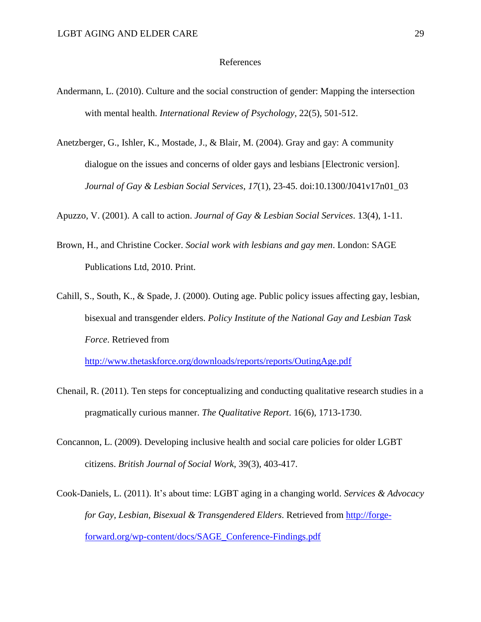## References

- Andermann, L. (2010). Culture and the social construction of gender: Mapping the intersection with mental health. *International Review of Psychology*, 22(5), 501-512.
- Anetzberger, G., Ishler, K., Mostade, J., & Blair, M. (2004). Gray and gay: A community dialogue on the issues and concerns of older gays and lesbians [Electronic version]. *Journal of Gay & Lesbian Social Services*, *17*(1), 23-45. doi:10.1300/J041v17n01\_03

Apuzzo, V. (2001). A call to action. *Journal of Gay & Lesbian Social Services*. 13(4), 1-11.

- Brown, H., and Christine Cocker. *Social work with lesbians and gay men*. London: SAGE Publications Ltd, 2010. Print.
- Cahill, S., South, K., & Spade, J. (2000). Outing age. Public policy issues affecting gay, lesbian, bisexual and transgender elders. *Policy Institute of the National Gay and Lesbian Task Force*. Retrieved from

<http://www.thetaskforce.org/downloads/reports/reports/OutingAge.pdf>

- Chenail, R. (2011). Ten steps for conceptualizing and conducting qualitative research studies in a pragmatically curious manner. *The Qualitative Report*. 16(6), 1713-1730.
- Concannon, L. (2009). Developing inclusive health and social care policies for older LGBT citizens. *British Journal of Social Work*, 39(3), 403-417.
- Cook-Daniels, L. (2011). It's about time: LGBT aging in a changing world. *Services & Advocacy for Gay, Lesbian, Bisexual & Transgendered Elders*. Retrieved from [http://forge](http://forge-forward.org/wp-content/docs/SAGE_Conference-Findings.pdf)[forward.org/wp-content/docs/SAGE\\_Conference-Findings.pdf](http://forge-forward.org/wp-content/docs/SAGE_Conference-Findings.pdf)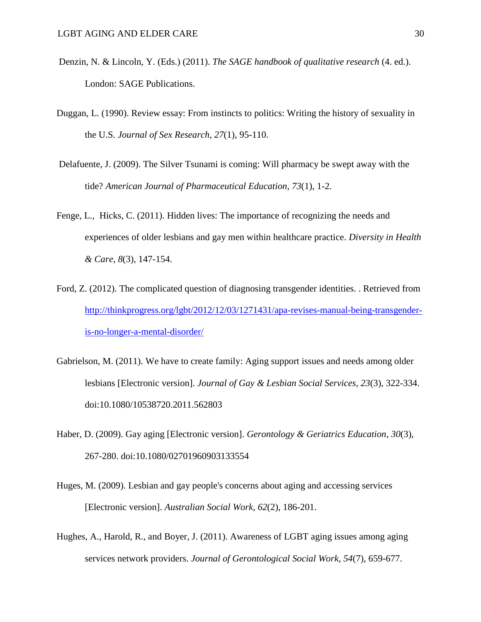- Denzin, N. & Lincoln, Y. (Eds.) (2011). *The SAGE handbook of qualitative research* (4. ed.). London: SAGE Publications.
- Duggan, L. (1990). Review essay: From instincts to politics: Writing the history of sexuality in the U.S. *Journal of Sex Research*, *27*(1), 95-110.
- Delafuente, J. (2009). The Silver Tsunami is coming: Will pharmacy be swept away with the tide? *American Journal of Pharmaceutical Education*, *73*(1), 1-2.
- Fenge, L., Hicks, C. (2011). Hidden lives: The importance of recognizing the needs and experiences of older lesbians and gay men within healthcare practice. *Diversity in Health & Care*, *8*(3), 147-154.
- Ford, Z. (2012). The complicated question of diagnosing transgender identities. . Retrieved from [http://thinkprogress.org/lgbt/2012/12/03/1271431/apa-revises-manual-being-transgender](http://thinkprogress.org/lgbt/2012/12/03/1271431/apa-revises-manual-being-transgender-is-no-longer-a-mental-disorder/)[is-no-longer-a-mental-disorder/](http://thinkprogress.org/lgbt/2012/12/03/1271431/apa-revises-manual-being-transgender-is-no-longer-a-mental-disorder/)
- Gabrielson, M. (2011). We have to create family: Aging support issues and needs among older lesbians [Electronic version]. *Journal of Gay & Lesbian Social Services*, *23*(3), 322-334. doi:10.1080/10538720.2011.562803
- Haber, D. (2009). Gay aging [Electronic version]. *Gerontology & Geriatrics Education*, *30*(3), 267-280. doi:10.1080/02701960903133554
- Huges, M. (2009). Lesbian and gay people's concerns about aging and accessing services [Electronic version]. *Australian Social Work*, *62*(2), 186-201.
- Hughes, A., Harold, R., and Boyer, J. (2011). Awareness of LGBT aging issues among aging services network providers. *Journal of Gerontological Social Work*, *54*(7), 659-677.